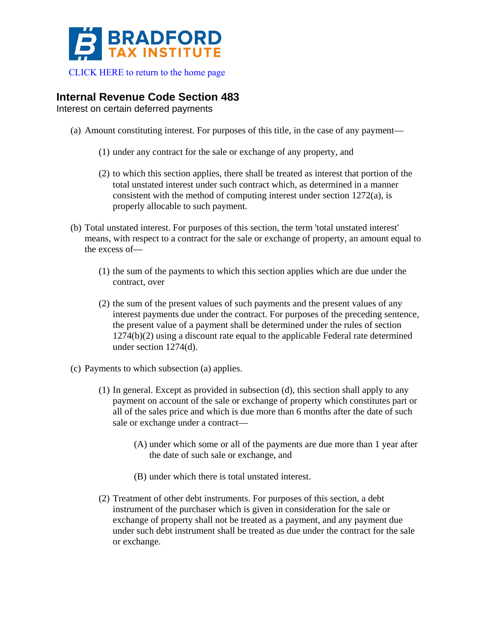

[CLICK HERE to return to the home page](http://www.bradfordtaxinstitute.com/) 

## **Internal Revenue Code Section 483**

Interest on certain deferred payments

- (a) Amount constituting interest. For purposes of this title, in the case of any payment—
	- (1) under any contract for the sale or exchange of any property, and
	- (2) to which this section applies, there shall be treated as interest that portion of the total unstated interest under such contract which, as determined in a manner consistent with the method of computing interest under section 1272(a), is properly allocable to such payment.
- (b) Total unstated interest. For purposes of this section, the term 'total unstated interest' means, with respect to a contract for the sale or exchange of property, an amount equal to the excess of—
	- (1) the sum of the payments to which this section applies which are due under the contract, over
	- (2) the sum of the present values of such payments and the present values of any interest payments due under the contract. For purposes of the preceding sentence, the present value of a payment shall be determined under the rules of section 1274(b)(2) using a discount rate equal to the applicable Federal rate determined under section 1274(d).
- (c) Payments to which subsection (a) applies.
	- (1) In general. Except as provided in subsection (d), this section shall apply to any payment on account of the sale or exchange of property which constitutes part or all of the sales price and which is due more than 6 months after the date of such sale or exchange under a contract—
		- (A) under which some or all of the payments are due more than 1 year after the date of such sale or exchange, and
		- (B) under which there is total unstated interest.
	- (2) Treatment of other debt instruments. For purposes of this section, a debt instrument of the purchaser which is given in consideration for the sale or exchange of property shall not be treated as a payment, and any payment due under such debt instrument shall be treated as due under the contract for the sale or exchange.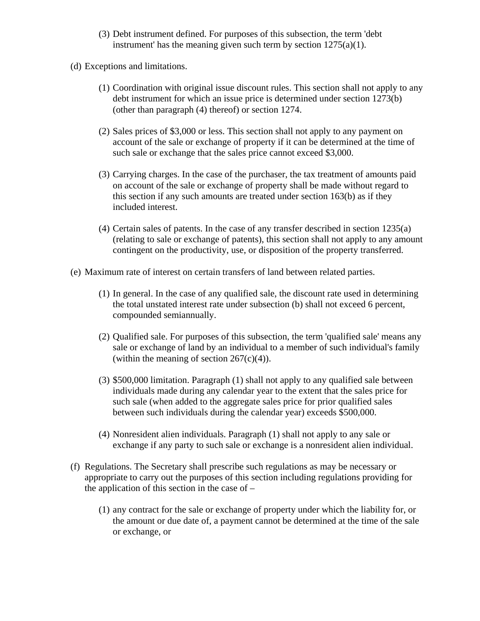- (3) Debt instrument defined. For purposes of this subsection, the term 'debt instrument' has the meaning given such term by section  $1275(a)(1)$ .
- (d) Exceptions and limitations.
	- (1) Coordination with original issue discount rules. This section shall not apply to any debt instrument for which an issue price is determined under section 1273(b) (other than paragraph (4) thereof) or section 1274.
	- (2) Sales prices of \$3,000 or less. This section shall not apply to any payment on account of the sale or exchange of property if it can be determined at the time of such sale or exchange that the sales price cannot exceed \$3,000.
	- (3) Carrying charges. In the case of the purchaser, the tax treatment of amounts paid on account of the sale or exchange of property shall be made without regard to this section if any such amounts are treated under section 163(b) as if they included interest.
	- (4) Certain sales of patents. In the case of any transfer described in section 1235(a) (relating to sale or exchange of patents), this section shall not apply to any amount contingent on the productivity, use, or disposition of the property transferred.
- (e) Maximum rate of interest on certain transfers of land between related parties.
	- (1) In general. In the case of any qualified sale, the discount rate used in determining the total unstated interest rate under subsection (b) shall not exceed 6 percent, compounded semiannually.
	- (2) Qualified sale. For purposes of this subsection, the term 'qualified sale' means any sale or exchange of land by an individual to a member of such individual's family (within the meaning of section  $267(c)(4)$ ).
	- (3) \$500,000 limitation. Paragraph (1) shall not apply to any qualified sale between individuals made during any calendar year to the extent that the sales price for such sale (when added to the aggregate sales price for prior qualified sales between such individuals during the calendar year) exceeds \$500,000.
	- (4) Nonresident alien individuals. Paragraph (1) shall not apply to any sale or exchange if any party to such sale or exchange is a nonresident alien individual.
- (f) Regulations. The Secretary shall prescribe such regulations as may be necessary or appropriate to carry out the purposes of this section including regulations providing for the application of this section in the case of  $-$ 
	- (1) any contract for the sale or exchange of property under which the liability for, or the amount or due date of, a payment cannot be determined at the time of the sale or exchange, or